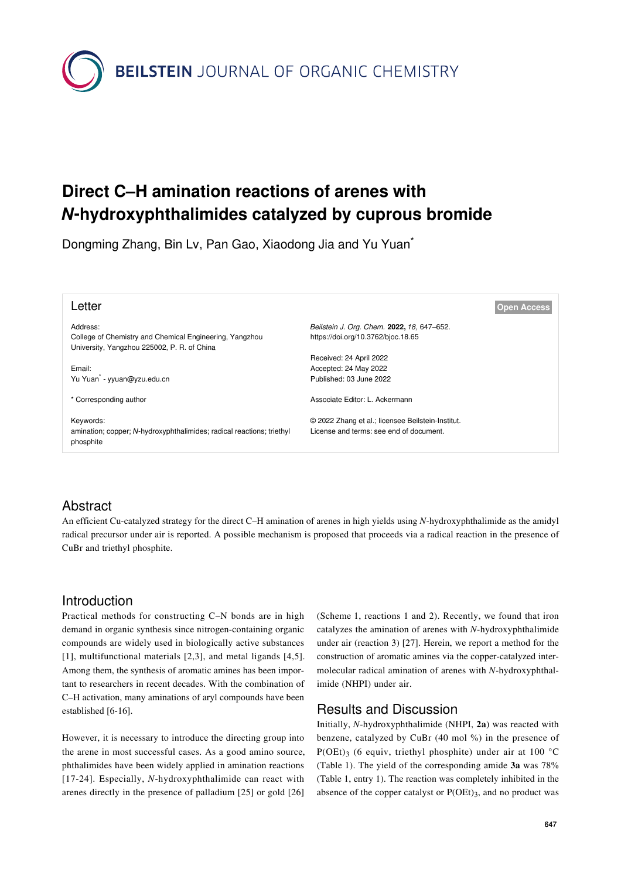**BEILSTEIN** JOURNAL OF ORGANIC CHEMISTRY

# **Direct C–H amination reactions of arenes with** *N***-hydroxyphthalimides catalyzed by cuprous bromide**

Dongming Zhang, Bin Lv, Pan Gao, Xiaodong Jia and Yu Yuan\*

| Letter                                                                | <b>Open Access</b>                                |
|-----------------------------------------------------------------------|---------------------------------------------------|
| Address:                                                              | Beilstein J. Org. Chem. 2022, 18, 647-652.        |
| College of Chemistry and Chemical Engineering, Yangzhou               | https://doi.org/10.3762/bjoc.18.65                |
| University, Yangzhou 225002, P. R. of China                           |                                                   |
|                                                                       | Received: 24 April 2022                           |
| Email:                                                                | Accepted: 24 May 2022                             |
| Yu Yuan <sup>*</sup> - yyuan@yzu.edu.cn                               | Published: 03 June 2022                           |
|                                                                       |                                                   |
| * Corresponding author                                                | Associate Editor: L. Ackermann                    |
|                                                                       |                                                   |
| Keywords:                                                             | © 2022 Zhang et al.; licensee Beilstein-Institut. |
| amination; copper; N-hydroxyphthalimides; radical reactions; triethyl | License and terms: see end of document.           |
| phosphite                                                             |                                                   |

# Abstract

An efficient Cu-catalyzed strategy for the direct C–H amination of arenes in high yields using *N*-hydroxyphthalimide as the amidyl radical precursor under air is reported. A possible mechanism is proposed that proceeds via a radical reaction in the presence of CuBr and triethyl phosphite.

## Introduction

Practical methods for constructing C–N bonds are in high demand in organic synthesis since nitrogen-containing organic compounds are widely used in biologically active substances [\[1\]](#page-4-0), multifunctional materials [\[2,3\]](#page-4-1), and metal ligands [\[4,5\]](#page-4-2). Among them, the synthesis of aromatic amines has been important to researchers in recent decades. With the combination of C–H activation, many aminations of aryl compounds have been established [\[6-16\].](#page-5-0)

However, it is necessary to introduce the directing group into the arene in most successful cases. As a good amino source, phthalimides have been widely applied in amination reactions [\[17-24\].](#page-5-1) Especially, *N*-hydroxyphthalimide can react with arenes directly in the presence of palladium [\[25\]](#page-5-2) or gold [\[26\]](#page-5-3)

([Scheme 1,](#page-1-0) reactions 1 and 2). Recently, we found that iron catalyzes the amination of arenes with *N*-hydroxyphthalimide under air (reaction 3) [\[27\].](#page-5-4) Herein, we report a method for the construction of aromatic amines via the copper-catalyzed intermolecular radical amination of arenes with *N*-hydroxyphthalimide (NHPI) under air.

## Results and Discussion

Initially, *N*-hydroxyphthalimide (NHPI, **2a**) was reacted with benzene, catalyzed by CuBr (40 mol %) in the presence of P(OEt)<sub>3</sub> (6 equiv, triethyl phosphite) under air at 100 °C ([Table 1](#page-1-1)). The yield of the corresponding amide **3a** was 78% ([Table 1](#page-1-1), entry 1). The reaction was completely inhibited in the absence of the copper catalyst or P(OEt)3, and no product was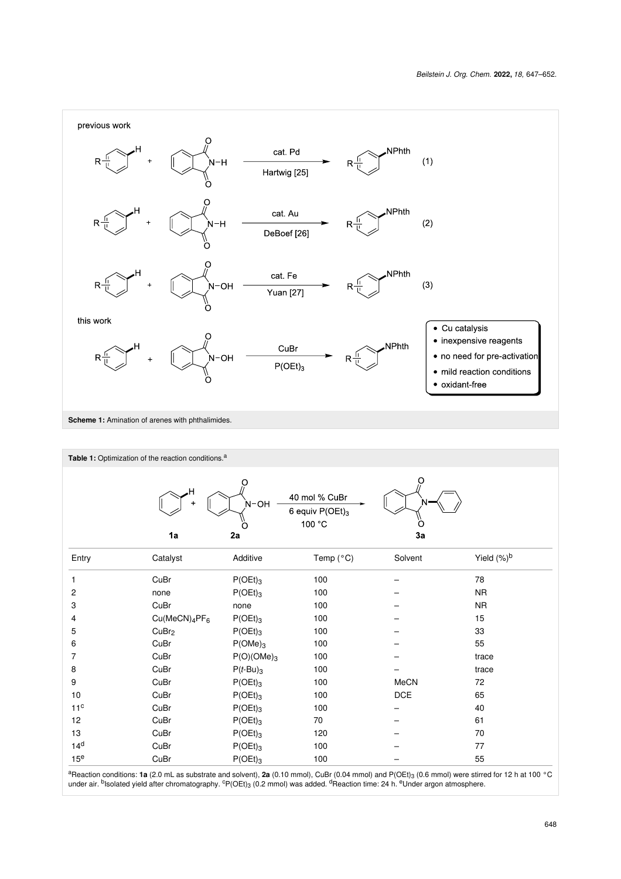<span id="page-1-0"></span>

<span id="page-1-1"></span>

|                 | Table 1: Optimization of the reaction conditions. <sup>a</sup>               |                       |           |         |                |
|-----------------|------------------------------------------------------------------------------|-----------------------|-----------|---------|----------------|
|                 | 40 mol % CuBr<br>N-OH<br>6 equiv $P(OEt)_3$<br>100 °C<br>O<br>3a<br>1a<br>2a |                       |           |         |                |
| Entry           | Catalyst                                                                     | Additive              | Temp (°C) | Solvent | Yield $(\%)^b$ |
| 1               | CuBr                                                                         | $P(OEt)_{3}$          | 100       |         | 78             |
| 2               | none                                                                         | $P(OEt)_{3}$          | 100       |         | <b>NR</b>      |
| 3               | CuBr                                                                         | none                  | 100       |         | <b>NR</b>      |
| 4               | Cu(MeCN) <sub>4</sub> PF <sub>6</sub>                                        | $P(OEt)_{3}$          | 100       |         | 15             |
| 5               | CuBr <sub>2</sub>                                                            | $P(OEt)_{3}$          | 100       |         | 33             |
| 6               | CuBr                                                                         | $P(OME)$ <sub>3</sub> | 100       |         | 55             |
| 7               | CuBr                                                                         | $P(O)(OMe)_3$         | 100       |         | trace          |
| 8               | CuBr                                                                         | $P(t-Bu)_{3}$         | 100       |         | trace          |
| 9               | CuBr                                                                         | $P(OEt)_{3}$          | 100       | MeCN    | 72             |
| 10              | CuBr                                                                         | $P(OEt)_{3}$          | 100       | $DCE$   | 65             |
| 11 <sup>c</sup> | CuBr                                                                         | $P(OEt)_{3}$          | 100       |         | 40             |
| 12              | CuBr                                                                         | $P(OEt)_{3}$          | 70        |         | 61             |
| 13              | CuBr                                                                         | $P(OEt)_{3}$          | 120       |         | 70             |
| 14 <sup>d</sup> | CuBr                                                                         | $P(OEt)_{3}$          | 100       |         | 77             |
| 15 <sup>e</sup> | CuBr                                                                         | $P(OEt)_{3}$          | 100       |         | 55             |

<sup>a</sup>Reaction conditions: **1a** (2.0 mL as substrate and solvent), **2a** (0.10 mmol), CuBr (0.04 mmol) and P(OEt)<sub>3</sub> (0.6 mmol) were stirred for 12 h at 100 °C<br>under air. <sup>b</sup>lsolated yield after chromatography. <sup>c</sup>P(OEt)<sub>3</sub> (0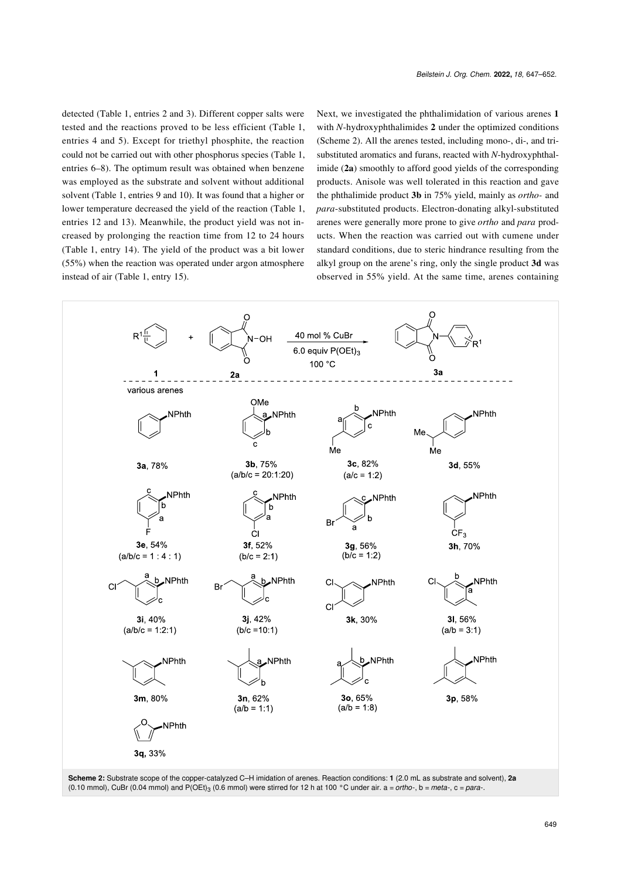detected ([Table 1](#page-1-1), entries 2 and 3). Different copper salts were tested and the reactions proved to be less efficient [\(Table 1](#page-1-1), entries 4 and 5). Except for triethyl phosphite, the reaction could not be carried out with other phosphorus species ([Table 1](#page-1-1), entries 6–8). The optimum result was obtained when benzene was employed as the substrate and solvent without additional solvent ([Table 1](#page-1-1), entries 9 and 10). It was found that a higher or lower temperature decreased the yield of the reaction [\(Table 1](#page-1-1), entries 12 and 13). Meanwhile, the product yield was not increased by prolonging the reaction time from 12 to 24 hours ([Table 1](#page-1-1), entry 14). The yield of the product was a bit lower (55%) when the reaction was operated under argon atmosphere instead of air [\(Table 1,](#page-1-1) entry 15).

Next, we investigated the phthalimidation of various arenes **1** with *N*-hydroxyphthalimides **2** under the optimized conditions ([Scheme 2](#page-2-0)). All the arenes tested, including mono-, di-, and trisubstituted aromatics and furans, reacted with *N*-hydroxyphthalimide (**2a**) smoothly to afford good yields of the corresponding products. Anisole was well tolerated in this reaction and gave the phthalimide product **3b** in 75% yield, mainly as *ortho-* and *para*-substituted products. Electron-donating alkyl-substituted arenes were generally more prone to give *ortho* and *para* products. When the reaction was carried out with cumene under standard conditions, due to steric hindrance resulting from the alkyl group on the arene's ring, only the single product **3d** was observed in 55% yield. At the same time, arenes containing

<span id="page-2-0"></span>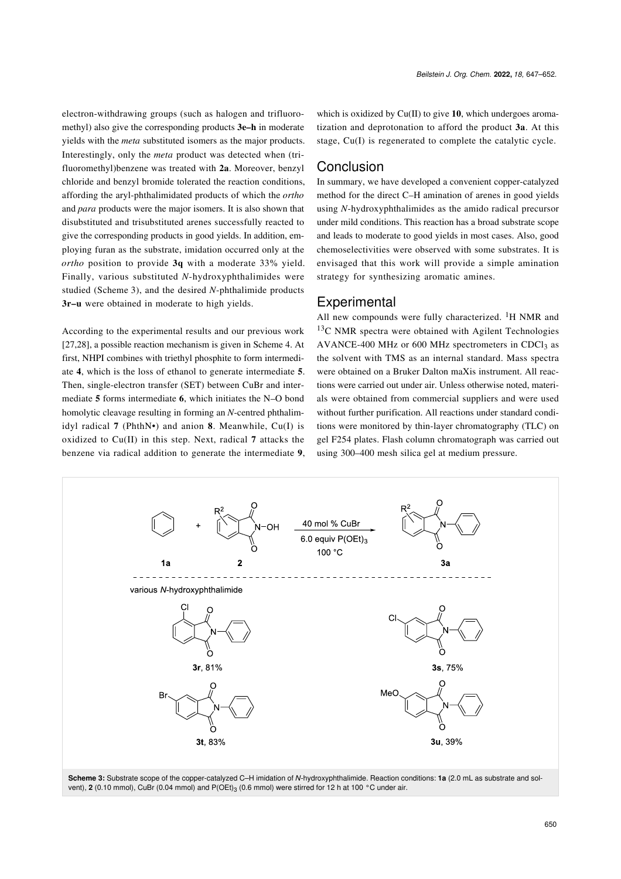electron-withdrawing groups (such as halogen and trifluoromethyl) also give the corresponding products **3e–h** in moderate yields with the *meta* substituted isomers as the major products. Interestingly, only the *meta* product was detected when (trifluoromethyl)benzene was treated with **2a**. Moreover, benzyl chloride and benzyl bromide tolerated the reaction conditions, affording the aryl-phthalimidated products of which the *ortho* and *para* products were the major isomers. It is also shown that disubstituted and trisubstituted arenes successfully reacted to give the corresponding products in good yields. In addition, employing furan as the substrate, imidation occurred only at the *ortho* position to provide **3q** with a moderate 33% yield. Finally, various substituted *N*-hydroxyphthalimides were studied [\(Scheme 3](#page-3-0)), and the desired *N*-phthalimide products **3r–u** were obtained in moderate to high yields.

According to the experimental results and our previous work [\[27,28\],](#page-5-4) a possible reaction mechanism is given in [Scheme 4.](#page-4-3) At first, NHPI combines with triethyl phosphite to form intermediate **4**, which is the loss of ethanol to generate intermediate **5**. Then, single-electron transfer (SET) between CuBr and intermediate **5** forms intermediate **6**, which initiates the N–O bond homolytic cleavage resulting in forming an *N*-centred phthalimidyl radical **7** (PhthN•) and anion **8**. Meanwhile, Cu(I) is oxidized to Cu(II) in this step. Next, radical **7** attacks the benzene via radical addition to generate the intermediate **9**, which is oxidized by Cu(II) to give 10, which undergoes aromatization and deprotonation to afford the product **3a**. At this stage, Cu(I) is regenerated to complete the catalytic cycle.

#### Conclusion

In summary, we have developed a convenient copper-catalyzed method for the direct C–H amination of arenes in good yields using *N*-hydroxyphthalimides as the amido radical precursor under mild conditions. This reaction has a broad substrate scope and leads to moderate to good yields in most cases. Also, good chemoselectivities were observed with some substrates. It is envisaged that this work will provide a simple amination strategy for synthesizing aromatic amines.

#### **Experimental**

All new compounds were fully characterized.  ${}^{1}H$  NMR and  $13<sup>C</sup>$  NMR spectra were obtained with Agilent Technologies AVANCE-400 MHz or 600 MHz spectrometers in CDCl<sub>3</sub> as the solvent with TMS as an internal standard. Mass spectra were obtained on a Bruker Dalton maXis instrument. All reactions were carried out under air. Unless otherwise noted, materials were obtained from commercial suppliers and were used without further purification. All reactions under standard conditions were monitored by thin-layer chromatography (TLC) on gel F254 plates. Flash column chromatograph was carried out using 300–400 mesh silica gel at medium pressure.

<span id="page-3-0"></span>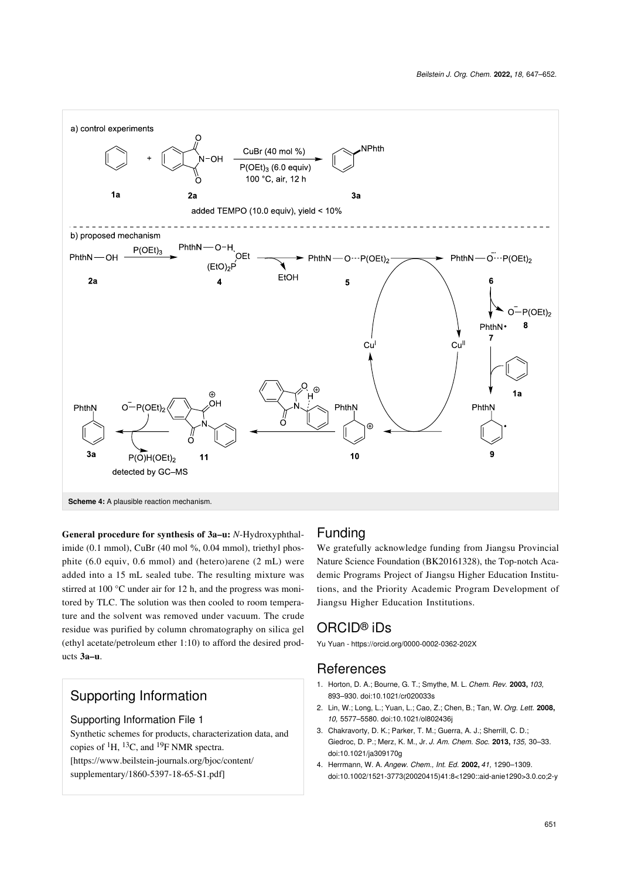<span id="page-4-3"></span>

**General procedure for synthesis of 3a–u:** *N*-Hydroxyphthalimide (0.1 mmol), CuBr (40 mol %, 0.04 mmol), triethyl phosphite (6.0 equiv, 0.6 mmol) and (hetero)arene (2 mL) were added into a 15 mL sealed tube. The resulting mixture was stirred at 100 °C under air for 12 h, and the progress was monitored by TLC. The solution was then cooled to room temperature and the solvent was removed under vacuum. The crude residue was purified by column chromatography on silica gel (ethyl acetate/petroleum ether 1:10) to afford the desired products **3a–u**.

# Supporting Information

#### Supporting Information File 1

Synthetic schemes for products, characterization data, and copies of  ${}^{1}H$ ,  ${}^{13}C$ , and  ${}^{19}F$  NMR spectra. [\[https://www.beilstein-journals.org/bjoc/content/](https://www.beilstein-journals.org/bjoc/content/supplementary/1860-5397-18-65-S1.pdf) [supplementary/1860-5397-18-65-S1.pdf\]](https://www.beilstein-journals.org/bjoc/content/supplementary/1860-5397-18-65-S1.pdf)

## Funding

We gratefully acknowledge funding from Jiangsu Provincial Nature Science Foundation (BK20161328), the Top-notch Academic Programs Project of Jiangsu Higher Education Institutions, and the Priority Academic Program Development of Jiangsu Higher Education Institutions.

# ORCID® iDs

Yu Yuan - <https://orcid.org/0000-0002-0362-202X>

## **References**

- <span id="page-4-0"></span>1. Horton, D. A.; Bourne, G. T.; Smythe, M. L. *Chem. Rev.* **2003,** *103,* 893–930. [doi:10.1021/cr020033s](https://doi.org/10.1021%2Fcr020033s)
- <span id="page-4-1"></span>2. Lin, W.; Long, L.; Yuan, L.; Cao, Z.; Chen, B.; Tan, W. *Org. Lett.* **2008,** *10,* 5577–5580. [doi:10.1021/ol802436j](https://doi.org/10.1021%2Fol802436j)
- 3. Chakravorty, D. K.; Parker, T. M.; Guerra, A. J.; Sherrill, C. D.; Giedroc, D. P.; Merz, K. M., Jr. *J. Am. Chem. Soc.* **2013,** *135,* 30–33. [doi:10.1021/ja309170g](https://doi.org/10.1021%2Fja309170g)
- <span id="page-4-2"></span>4. Herrmann, W. A. *Angew. Chem., Int. Ed.* **2002,** *41,* 1290–1309. [doi:10.1002/1521-3773\(20020415\)41:8<1290::aid-anie1290>3.0.co;2-y](https://doi.org/10.1002%2F1521-3773%2820020415%2941%3A8%3C1290%3A%3Aaid-anie1290%3E3.0.co%3B2-y)